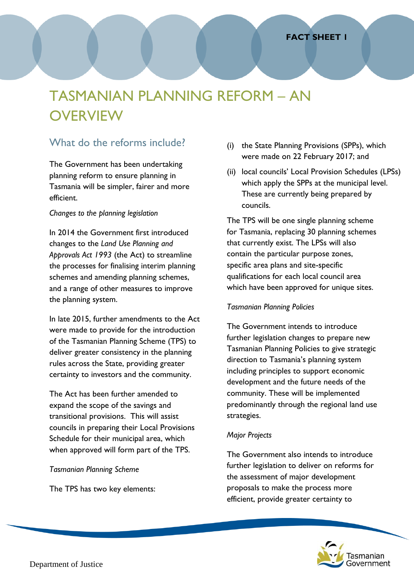# TASMANIAN PLANNING REFORM – AN **OVERVIEW**

# What do the reforms include?

The Government has been undertaking planning reform to ensure planning in Tasmania will be simpler, fairer and more efficient.

#### *Changes to the planning legislation*

In 2014 the Government first introduced changes to the *Land Use Planning and Approvals Act 1993* (the Act) to streamline the processes for finalising interim planning schemes and amending planning schemes, and a range of other measures to improve the planning system.

In late 2015, further amendments to the Act were made to provide for the introduction of the Tasmanian Planning Scheme (TPS) to deliver greater consistency in the planning rules across the State, providing greater certainty to investors and the community.

The Act has been further amended to expand the scope of the savings and transitional provisions. This will assist councils in preparing their Local Provisions Schedule for their municipal area, which when approved will form part of the TPS.

*Tasmanian Planning Scheme*

The TPS has two key elements:

- (i) the State Planning Provisions (SPPs), which were made on 22 February 2017; and
- (ii) local councils' Local Provision Schedules (LPSs) which apply the SPPs at the municipal level. These are currently being prepared by councils.

The TPS will be one single planning scheme for Tasmania, replacing 30 planning schemes that currently exist. The LPSs will also contain the particular purpose zones, specific area plans and site-specific qualifications for each local council area which have been approved for unique sites.

#### *Tasmanian Planning Policies*

The Government intends to introduce further legislation changes to prepare new Tasmanian Planning Policies to give strategic direction to Tasmania's planning system including principles to support economic development and the future needs of the community. These will be implemented predominantly through the regional land use strategies.

## *Major Projects*

The Government also intends to introduce further legislation to deliver on reforms for the assessment of major development proposals to make the process more efficient, provide greater certainty to